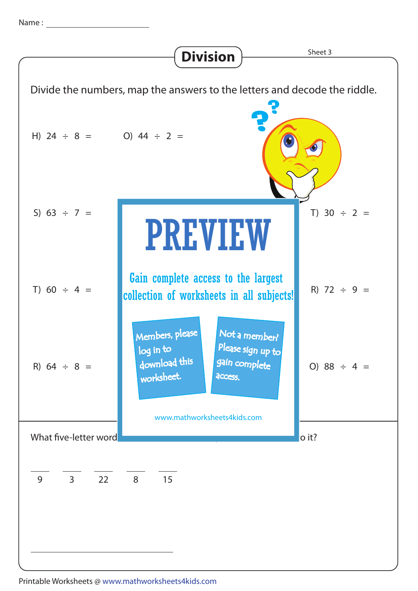